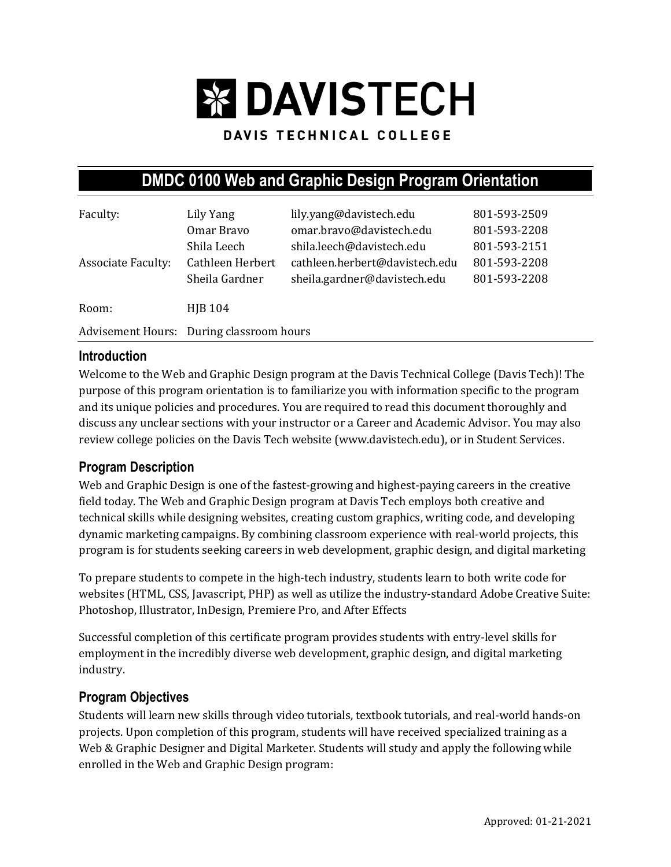# **EX DAVISTECH**

## DAVIS TECHNICAL COLLEGE

## **DMDC 0100 Web and Graphic Design Program Orientation**

| Faculty:                                 | Lily Yang        | lily.yang@davistech.edu        | 801-593-2509 |
|------------------------------------------|------------------|--------------------------------|--------------|
|                                          | Omar Bravo       | omar.bravo@davistech.edu       | 801-593-2208 |
|                                          | Shila Leech      | shila.leech@davistech.edu      | 801-593-2151 |
| <b>Associate Faculty:</b>                | Cathleen Herbert | cathleen.herbert@davistech.edu | 801-593-2208 |
|                                          | Sheila Gardner   | sheila.gardner@davistech.edu   | 801-593-2208 |
| Room:                                    | <b>HIB 104</b>   |                                |              |
| Advisement Hours: During classroom hours |                  |                                |              |

#### **Introduction**

Welcome to the Web and Graphic Design program at the Davis Technical College (Davis Tech)! The purpose of this program orientation is to familiarize you with information specific to the program and its unique policies and procedures. You are required to read this document thoroughly and discuss any unclear sections with your instructor or a Career and Academic Advisor. You may also review college policies on the Davis Tech website (www.davistech.edu), or in Student Services.

#### **Program Description**

Web and Graphic Design is one of the fastest-growing and highest-paying careers in the creative field today. The Web and Graphic Design program at Davis Tech employs both creative and technical skills while designing websites, creating custom graphics, writing code, and developing dynamic marketing campaigns. By combining classroom experience with real-world projects, this program is for students seeking careers in web development, graphic design, and digital marketing

To prepare students to compete in the high-tech industry, students learn to both write code for websites (HTML, CSS, Javascript, PHP) as well as utilize the industry-standard Adobe Creative Suite: Photoshop, Illustrator, InDesign, Premiere Pro, and After Effects

Successful completion of this certificate program provides students with entry-level skills for employment in the incredibly diverse web development, graphic design, and digital marketing industry.

#### **Program Objectives**

Students will learn new skills through video tutorials, textbook tutorials, and real-world hands-on projects. Upon completion of this program, students will have received specialized training as a Web & Graphic Designer and Digital Marketer. Students will study and apply the following while enrolled in the Web and Graphic Design program: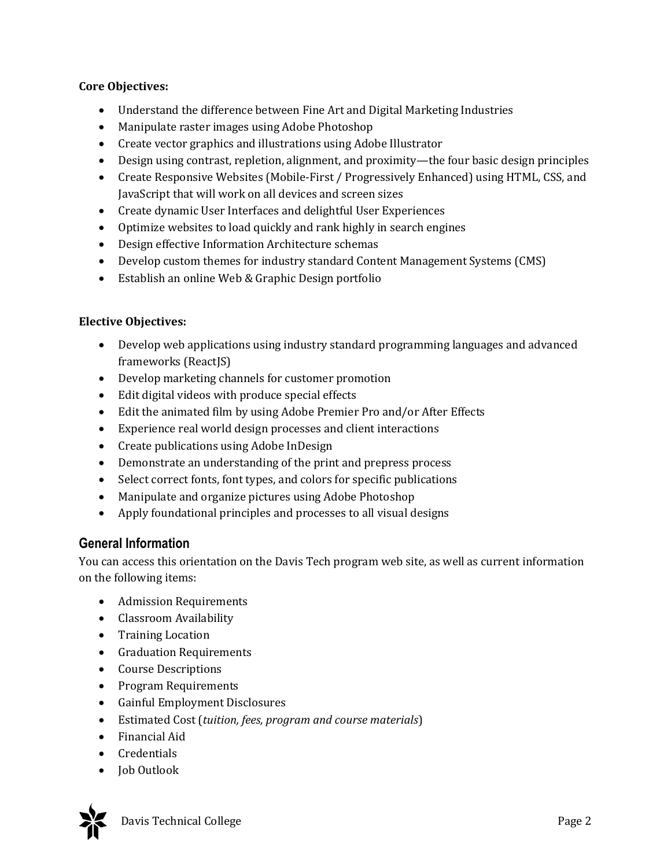#### **Core Objectives:**

- Understand the difference between Fine Art and Digital Marketing Industries
- Manipulate raster images using Adobe Photoshop
- Create vector graphics and illustrations using Adobe Illustrator
- Design using contrast, repletion, alignment, and proximity—the four basic design principles
- Create Responsive Websites (Mobile-First / Progressively Enhanced) using HTML, CSS, and JavaScript that will work on all devices and screen sizes
- Create dynamic User Interfaces and delightful User Experiences
- Optimize websites to load quickly and rank highly in search engines
- Design effective Information Architecture schemas
- Develop custom themes for industry standard Content Management Systems (CMS)
- Establish an online Web & Graphic Design portfolio

#### **Elective Objectives:**

- Develop web applications using industry standard programming languages and advanced frameworks (ReactJS)
- Develop marketing channels for customer promotion
- Edit digital videos with produce special effects
- Edit the animated film by using Adobe Premier Pro and/or After Effects
- Experience real world design processes and client interactions
- Create publications using Adobe InDesign
- Demonstrate an understanding of the print and prepress process
- Select correct fonts, font types, and colors for specific publications
- Manipulate and organize pictures using Adobe Photoshop
- Apply foundational principles and processes to all visual designs

#### **General Information**

You can access this orientation on the Davis Tech program web site, as well as current information on the following items:

- Admission Requirements
- Classroom Availability
- Training Location
- Graduation Requirements
- Course Descriptions
- Program Requirements
- Gainful Employment Disclosures
- Estimated Cost (*tuition, fees, program and course materials*)
- Financial Aid
- Credentials
- Job Outlook

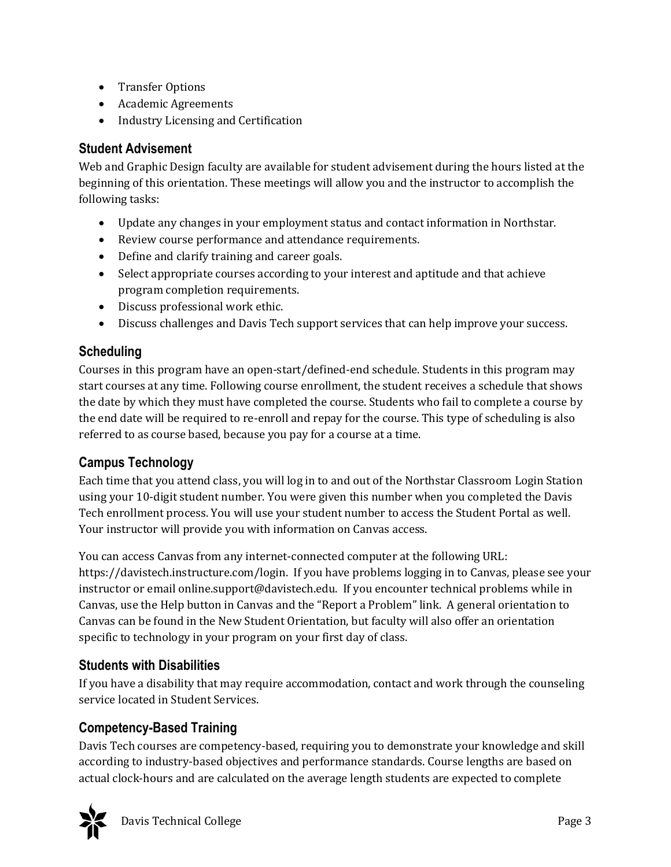- Transfer Options
- Academic Agreements
- Industry Licensing and Certification

## **Student Advisement**

Web and Graphic Design faculty are available for student advisement during the hours listed at the beginning of this orientation. These meetings will allow you and the instructor to accomplish the following tasks:

- Update any changes in your employment status and contact information in Northstar.
- Review course performance and attendance requirements.
- Define and clarify training and career goals.
- Select appropriate courses according to your interest and aptitude and that achieve program completion requirements.
- Discuss professional work ethic.
- Discuss challenges and Davis Tech support services that can help improve your success.

## **Scheduling**

Courses in this program have an open-start/defined-end schedule. Students in this program may start courses at any time. Following course enrollment, the student receives a schedule that shows the date by which they must have completed the course. Students who fail to complete a course by the end date will be required to re-enroll and repay for the course. This type of scheduling is also referred to as course based, because you pay for a course at a time.

## **Campus Technology**

Each time that you attend class, you will log in to and out of the Northstar Classroom Login Station using your 10-digit student number. You were given this number when you completed the Davis Tech enrollment process. You will use your student number to access the Student Portal as well. Your instructor will provide you with information on Canvas access.

You can access Canvas from any internet-connected computer at the following URL: https://davistech.instructure.com/login. If you have problems logging in to Canvas, please see your instructor or email online.support@davistech.edu. If you encounter technical problems while in Canvas, use the Help button in Canvas and the "Report a Problem" link. A general orientation to Canvas can be found in the New Student Orientation, but faculty will also offer an orientation specific to technology in your program on your first day of class.

## **Students with Disabilities**

If you have a disability that may require accommodation, contact and work through the counseling service located in Student Services.

## **Competency-Based Training**

Davis Tech courses are competency-based, requiring you to demonstrate your knowledge and skill according to industry-based objectives and performance standards. Course lengths are based on actual clock-hours and are calculated on the average length students are expected to complete

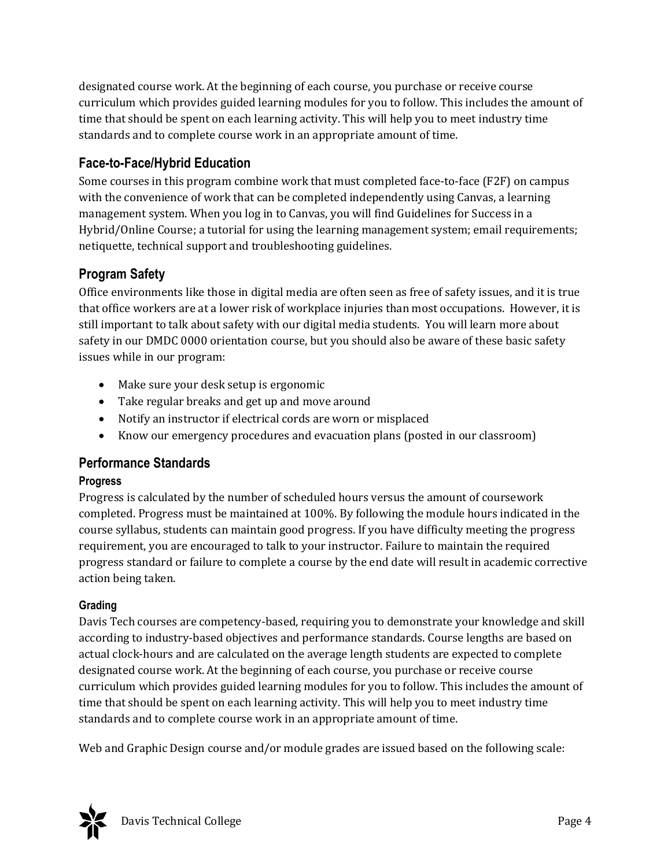designated course work. At the beginning of each course, you purchase or receive course curriculum which provides guided learning modules for you to follow. This includes the amount of time that should be spent on each learning activity. This will help you to meet industry time standards and to complete course work in an appropriate amount of time.

## **Face-to-Face/Hybrid Education**

Some courses in this program combine work that must completed face-to-face (F2F) on campus with the convenience of work that can be completed independently using Canvas, a learning management system. When you log in to Canvas, you will find Guidelines for Success in a Hybrid/Online Course; a tutorial for using the learning management system; email requirements; netiquette, technical support and troubleshooting guidelines.

## **Program Safety**

Office environments like those in digital media are often seen as free of safety issues, and it is true that office workers are at a lower risk of workplace injuries than most occupations. However, it is still important to talk about safety with our digital media students. You will learn more about safety in our DMDC 0000 orientation course, but you should also be aware of these basic safety issues while in our program:

- Make sure your desk setup is ergonomic
- Take regular breaks and get up and move around
- Notify an instructor if electrical cords are worn or misplaced
- Know our emergency procedures and evacuation plans (posted in our classroom)

#### **Performance Standards**

#### **Progress**

Progress is calculated by the number of scheduled hours versus the amount of coursework completed. Progress must be maintained at 100%. By following the module hours indicated in the course syllabus, students can maintain good progress. If you have difficulty meeting the progress requirement, you are encouraged to talk to your instructor. Failure to maintain the required progress standard or failure to complete a course by the end date will result in academic corrective action being taken.

#### **Grading**

Davis Tech courses are competency-based, requiring you to demonstrate your knowledge and skill according to industry-based objectives and performance standards. Course lengths are based on actual clock-hours and are calculated on the average length students are expected to complete designated course work. At the beginning of each course, you purchase or receive course curriculum which provides guided learning modules for you to follow. This includes the amount of time that should be spent on each learning activity. This will help you to meet industry time standards and to complete course work in an appropriate amount of time.

Web and Graphic Design course and/or module grades are issued based on the following scale:

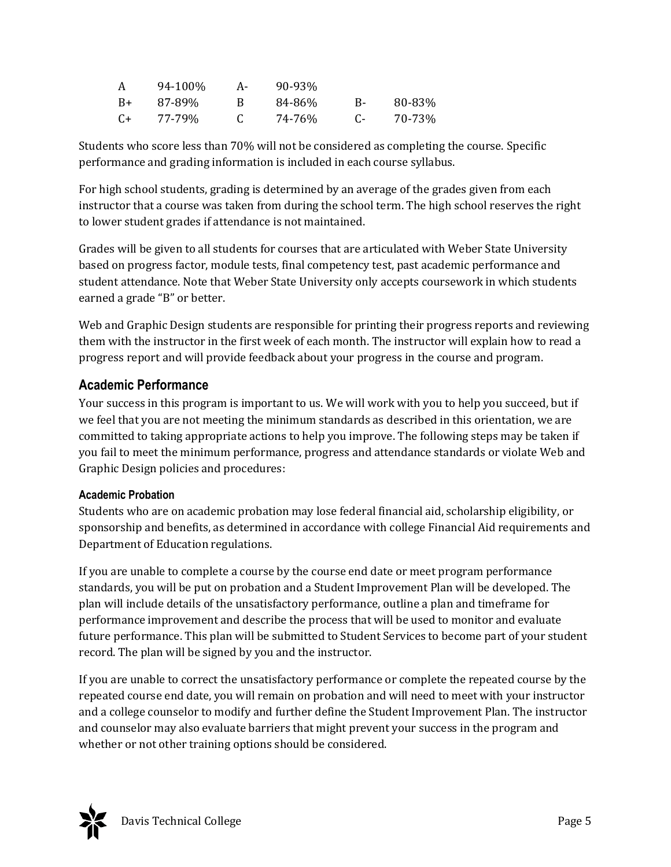|      | 94-100% | А- | 90-93% |    |        |
|------|---------|----|--------|----|--------|
| $B+$ | 87-89%  |    | 84-86% | в- | 80-83% |
| $C+$ | 77-79%  |    | 74-76% |    | 70-73% |

Students who score less than 70% will not be considered as completing the course. Specific performance and grading information is included in each course syllabus.

For high school students, grading is determined by an average of the grades given from each instructor that a course was taken from during the school term. The high school reserves the right to lower student grades if attendance is not maintained.

Grades will be given to all students for courses that are articulated with Weber State University based on progress factor, module tests, final competency test, past academic performance and student attendance. Note that Weber State University only accepts coursework in which students earned a grade "B" or better.

Web and Graphic Design students are responsible for printing their progress reports and reviewing them with the instructor in the first week of each month. The instructor will explain how to read a progress report and will provide feedback about your progress in the course and program.

## **Academic Performance**

Your success in this program is important to us. We will work with you to help you succeed, but if we feel that you are not meeting the minimum standards as described in this orientation, we are committed to taking appropriate actions to help you improve. The following steps may be taken if you fail to meet the minimum performance, progress and attendance standards or violate Web and Graphic Design policies and procedures:

#### **Academic Probation**

Students who are on academic probation may lose federal financial aid, scholarship eligibility, or sponsorship and benefits, as determined in accordance with college Financial Aid requirements and Department of Education regulations.

If you are unable to complete a course by the course end date or meet program performance standards, you will be put on probation and a Student Improvement Plan will be developed. The plan will include details of the unsatisfactory performance, outline a plan and timeframe for performance improvement and describe the process that will be used to monitor and evaluate future performance. This plan will be submitted to Student Services to become part of your student record. The plan will be signed by you and the instructor.

If you are unable to correct the unsatisfactory performance or complete the repeated course by the repeated course end date, you will remain on probation and will need to meet with your instructor and a college counselor to modify and further define the Student Improvement Plan. The instructor and counselor may also evaluate barriers that might prevent your success in the program and whether or not other training options should be considered.

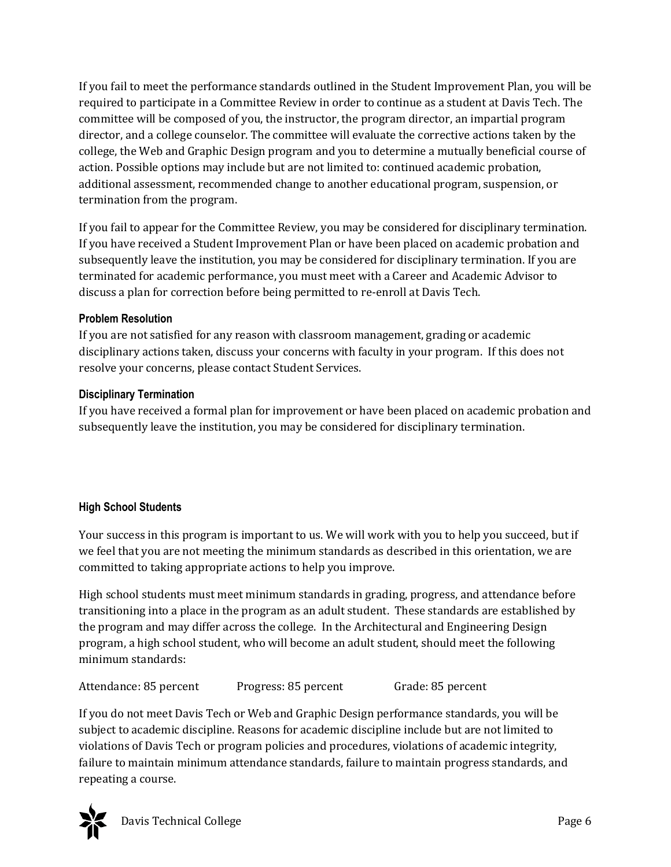If you fail to meet the performance standards outlined in the Student Improvement Plan, you will be required to participate in a Committee Review in order to continue as a student at Davis Tech. The committee will be composed of you, the instructor, the program director, an impartial program director, and a college counselor. The committee will evaluate the corrective actions taken by the college, the Web and Graphic Design program and you to determine a mutually beneficial course of action. Possible options may include but are not limited to: continued academic probation, additional assessment, recommended change to another educational program, suspension, or termination from the program.

If you fail to appear for the Committee Review, you may be considered for disciplinary termination. If you have received a Student Improvement Plan or have been placed on academic probation and subsequently leave the institution, you may be considered for disciplinary termination. If you are terminated for academic performance, you must meet with a Career and Academic Advisor to discuss a plan for correction before being permitted to re-enroll at Davis Tech.

#### **Problem Resolution**

If you are not satisfied for any reason with classroom management, grading or academic disciplinary actions taken, discuss your concerns with faculty in your program. If this does not resolve your concerns, please contact Student Services.

#### **Disciplinary Termination**

If you have received a formal plan for improvement or have been placed on academic probation and subsequently leave the institution, you may be considered for disciplinary termination.

#### **High School Students**

Your success in this program is important to us. We will work with you to help you succeed, but if we feel that you are not meeting the minimum standards as described in this orientation, we are committed to taking appropriate actions to help you improve.

High school students must meet minimum standards in grading, progress, and attendance before transitioning into a place in the program as an adult student. These standards are established by the program and may differ across the college. In the Architectural and Engineering Design program, a high school student, who will become an adult student, should meet the following minimum standards:

Attendance: 85 percent Progress: 85 percent Grade: 85 percent

If you do not meet Davis Tech or Web and Graphic Design performance standards, you will be subject to academic discipline. Reasons for academic discipline include but are not limited to violations of Davis Tech or program policies and procedures, violations of academic integrity, failure to maintain minimum attendance standards, failure to maintain progress standards, and repeating a course.

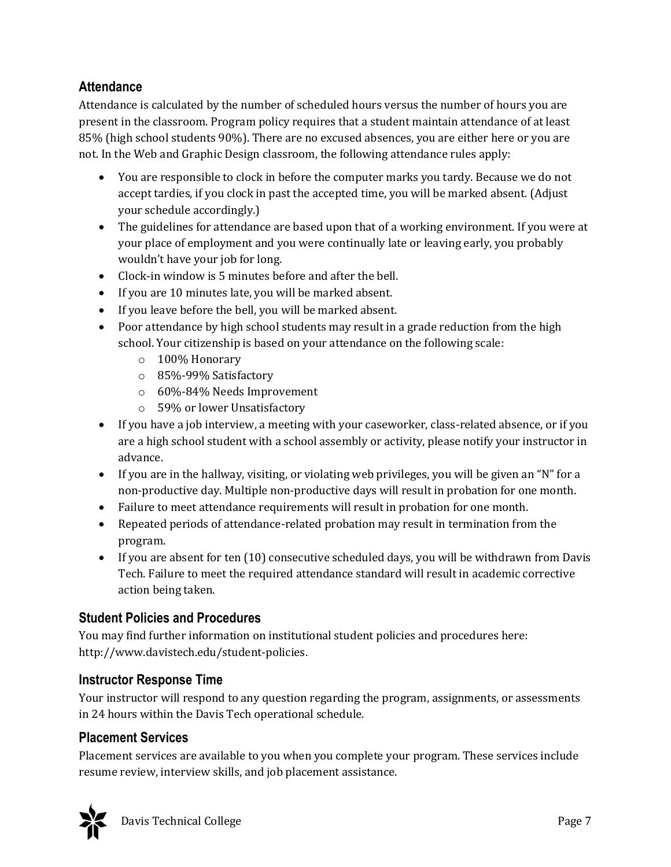## **Attendance**

Attendance is calculated by the number of scheduled hours versus the number of hours you are present in the classroom. Program policy requires that a student maintain attendance of at least 85% (high school students 90%). There are no excused absences, you are either here or you are not. In the Web and Graphic Design classroom, the following attendance rules apply:

- You are responsible to clock in before the computer marks you tardy. Because we do not accept tardies, if you clock in past the accepted time, you will be marked absent. (Adjust your schedule accordingly.)
- The guidelines for attendance are based upon that of a working environment. If you were at your place of employment and you were continually late or leaving early, you probably wouldn't have your job for long.
- Clock-in window is 5 minutes before and after the bell.
- If you are 10 minutes late, you will be marked absent.
- If you leave before the bell, you will be marked absent.
- Poor attendance by high school students may result in a grade reduction from the high school. Your citizenship is based on your attendance on the following scale:
	- o 100% Honorary
	- o 85%-99% Satisfactory
	- o 60%-84% Needs Improvement
	- o 59% or lower Unsatisfactory
- If you have a job interview, a meeting with your caseworker, class-related absence, or if you are a high school student with a school assembly or activity, please notify your instructor in advance.
- If you are in the hallway, visiting, or violating web privileges, you will be given an "N" for a non-productive day. Multiple non-productive days will result in probation for one month.
- Failure to meet attendance requirements will result in probation for one month.
- Repeated periods of attendance-related probation may result in termination from the program.
- If you are absent for ten (10) consecutive scheduled days, you will be withdrawn from Davis Tech. Failure to meet the required attendance standard will result in academic corrective action being taken.

## **Student Policies and Procedures**

You may find further information on institutional student policies and procedures here: http://www.davistech.edu/student-policies.

## **Instructor Response Time**

Your instructor will respond to any question regarding the program, assignments, or assessments in 24 hours within the Davis Tech operational schedule.

#### **Placement Services**

Placement services are available to you when you complete your program. These services include resume review, interview skills, and job placement assistance.

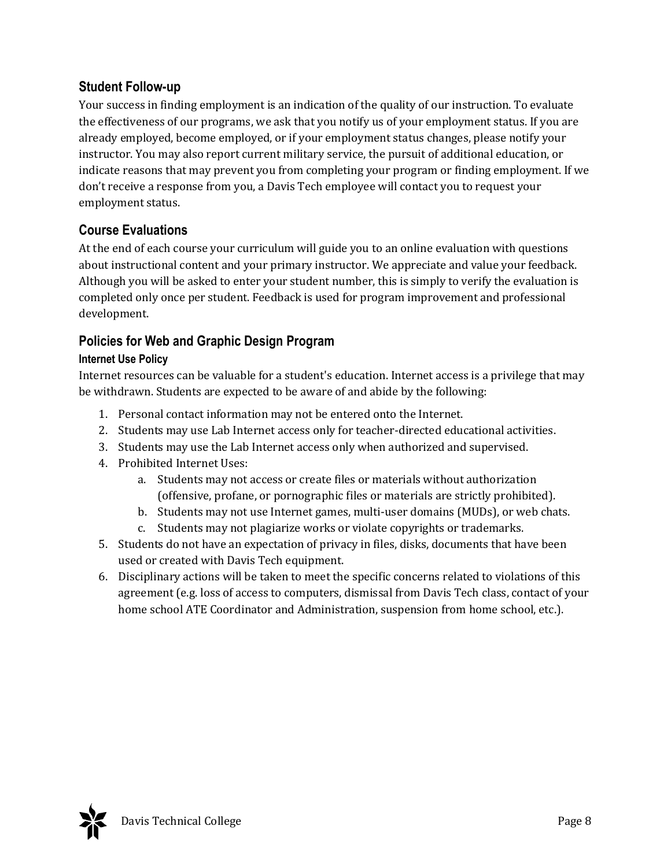## **Student Follow-up**

Your success in finding employment is an indication of the quality of our instruction. To evaluate the effectiveness of our programs, we ask that you notify us of your employment status. If you are already employed, become employed, or if your employment status changes, please notify your instructor. You may also report current military service, the pursuit of additional education, or indicate reasons that may prevent you from completing your program or finding employment. If we don't receive a response from you, a Davis Tech employee will contact you to request your employment status.

## **Course Evaluations**

At the end of each course your curriculum will guide you to an online evaluation with questions about instructional content and your primary instructor. We appreciate and value your feedback. Although you will be asked to enter your student number, this is simply to verify the evaluation is completed only once per student. Feedback is used for program improvement and professional development.

## **Policies for Web and Graphic Design Program**

#### **Internet Use Policy**

Internet resources can be valuable for a student's education. Internet access is a privilege that may be withdrawn. Students are expected to be aware of and abide by the following:

- 1. Personal contact information may not be entered onto the Internet.
- 2. Students may use Lab Internet access only for teacher-directed educational activities.
- 3. Students may use the Lab Internet access only when authorized and supervised.
- 4. Prohibited Internet Uses:
	- a. Students may not access or create files or materials without authorization (offensive, profane, or pornographic files or materials are strictly prohibited).
	- b. Students may not use Internet games, multi-user domains (MUDs), or web chats.
	- c. Students may not plagiarize works or violate copyrights or trademarks.
- 5. Students do not have an expectation of privacy in files, disks, documents that have been used or created with Davis Tech equipment.
- 6. Disciplinary actions will be taken to meet the specific concerns related to violations of this agreement (e.g. loss of access to computers, dismissal from Davis Tech class, contact of your home school ATE Coordinator and Administration, suspension from home school, etc.).

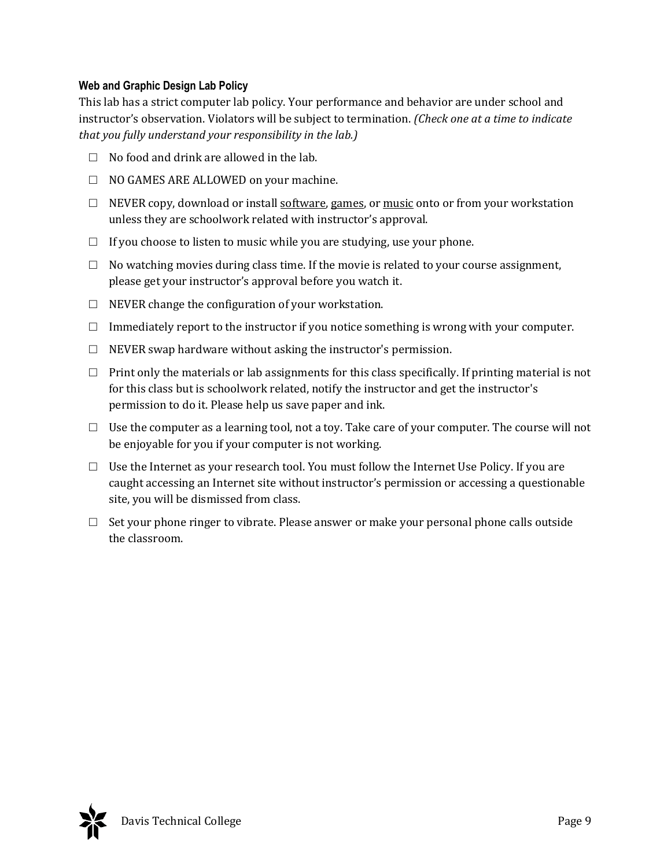#### **Web and Graphic Design Lab Policy**

This lab has a strict computer lab policy. Your performance and behavior are under school and instructor's observation. Violators will be subject to termination. *(Check one at a time to indicate that you fully understand your responsibility in the lab.)*

- $\Box$  No food and drink are allowed in the lab.
- □ NO GAMES ARE ALLOWED on your machine.
- $\Box$  NEVER copy, download or install software, games, or music onto or from your workstation unless they are schoolwork related with instructor's approval.
- $\Box$  If you choose to listen to music while you are studying, use your phone.
- $\Box$  No watching movies during class time. If the movie is related to your course assignment, please get your instructor's approval before you watch it.
- $\Box$  NEVER change the configuration of your workstation.
- $\Box$  Immediately report to the instructor if you notice something is wrong with your computer.
- $\Box$  NEVER swap hardware without asking the instructor's permission.
- $\Box$  Print only the materials or lab assignments for this class specifically. If printing material is not for this class but is schoolwork related, notify the instructor and get the instructor's permission to do it. Please help us save paper and ink.
- $\Box$  Use the computer as a learning tool, not a toy. Take care of your computer. The course will not be enjoyable for you if your computer is not working.
- $\Box$  Use the Internet as your research tool. You must follow the Internet Use Policy. If you are caught accessing an Internet site without instructor's permission or accessing a questionable site, you will be dismissed from class.
- $\Box$  Set your phone ringer to vibrate. Please answer or make your personal phone calls outside the classroom.